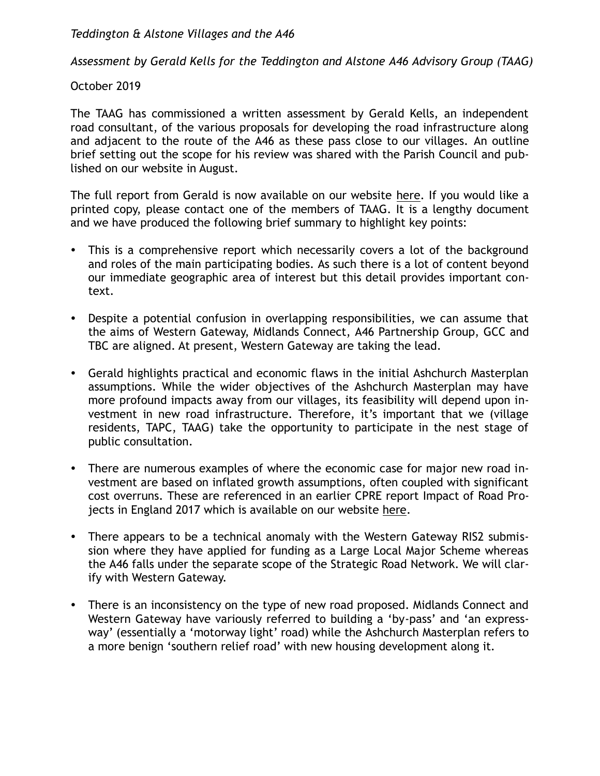*Teddington & Alstone Villages and the A46*

*Assessment by Gerald Kells for the Teddington and Alstone A46 Advisory Group (TAAG)*

## October 2019

The TAAG has commissioned a written assessment by Gerald Kells, an independent road consultant, of the various proposals for developing the road infrastructure along and adjacent to the route of the A46 as these pass close to our villages. An outline brief setting out the scope for his review was shared with the Parish Council and published on our website in August.

The full report from Gerald is now available on our website here. If you would like a printed copy, please contact one of the members of TAAG. It is a lengthy document and we have produced the following brief summary to highlight key points:

- This is a comprehensive report which necessarily covers a lot of the background and roles of the main participating bodies. As such there is a lot of content beyond our immediate geographic area of interest but this detail provides important context.
- Despite a potential confusion in overlapping responsibilities, we can assume that the aims of Western Gateway, Midlands Connect, A46 Partnership Group, GCC and TBC are aligned. At present, Western Gateway are taking the lead.
- Gerald highlights practical and economic flaws in the initial Ashchurch Masterplan assumptions. While the wider objectives of the Ashchurch Masterplan may have more profound impacts away from our villages, its feasibility will depend upon investment in new road infrastructure. Therefore, it's important that we (village residents, TAPC, TAAG) take the opportunity to participate in the nest stage of public consultation.
- There are numerous examples of where the economic case for major new road investment are based on inflated growth assumptions, often coupled with significant cost overruns. These are referenced in an earlier CPRE report Impact of Road Projects in England 2017 which is available on our website here.
- There appears to be a technical anomaly with the Western Gateway RIS2 submission where they have applied for funding as a Large Local Major Scheme whereas the A46 falls under the separate scope of the Strategic Road Network. We will clarify with Western Gateway.
- There is an inconsistency on the type of new road proposed. Midlands Connect and Western Gateway have variously referred to building a 'by-pass' and 'an expressway' (essentially a 'motorway light' road) while the Ashchurch Masterplan refers to a more benign 'southern relief road' with new housing development along it.